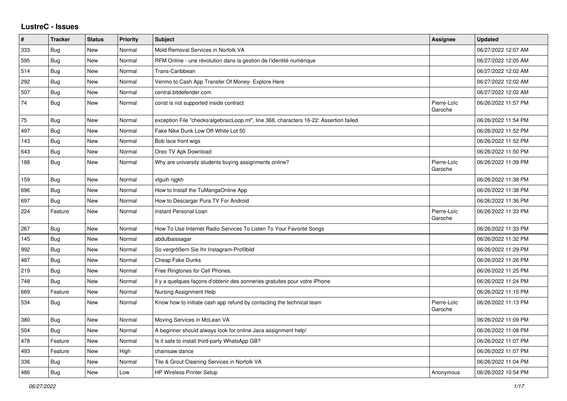## **LustreC - Issues**

| $\pmb{\#}$ | <b>Tracker</b> | <b>Status</b> | <b>Priority</b> | <b>Subject</b>                                                                         | <b>Assignee</b>        | Updated             |
|------------|----------------|---------------|-----------------|----------------------------------------------------------------------------------------|------------------------|---------------------|
| 333        | <b>Bug</b>     | New           | Normal          | Mold Removal Services in Norfolk VA                                                    |                        | 06/27/2022 12:07 AM |
| 595        | Bug            | <b>New</b>    | Normal          | RFM Online - une révolution dans la gestion de l'identité numérique                    |                        | 06/27/2022 12:05 AM |
| 514        | <b>Bug</b>     | New           | Normal          | Trans-Caribbean                                                                        |                        | 06/27/2022 12:02 AM |
| 292        | <b>Bug</b>     | <b>New</b>    | Normal          | Venmo to Cash App Transfer Of Money- Explore Here                                      |                        | 06/27/2022 12:02 AM |
| 507        | <b>Bug</b>     | New           | Normal          | central.bitdefender.com                                                                |                        | 06/27/2022 12:02 AM |
| 74         | <b>Bug</b>     | New           | Normal          | const is not supported inside contract                                                 | Pierre-Loïc<br>Garoche | 06/26/2022 11:57 PM |
| 75         | <b>Bug</b>     | <b>New</b>    | Normal          | exception File "checks/algebraicLoop.ml", line 368, characters 16-22: Assertion failed |                        | 06/26/2022 11:54 PM |
| 497        | Bug            | <b>New</b>    | Normal          | Fake Nike Dunk Low Off-White Lot 50                                                    |                        | 06/26/2022 11:52 PM |
| 143        | Bug            | New           | Normal          | Bob lace front wigs                                                                    |                        | 06/26/2022 11:52 PM |
| 643        | Bug            | <b>New</b>    | Normal          | Oreo TV Apk Download                                                                   |                        | 06/26/2022 11:50 PM |
| 188        | Bug            | New           | Normal          | Why are university students buying assignments online?                                 | Pierre-Loïc<br>Garoche | 06/26/2022 11:39 PM |
| 159        | Bug            | <b>New</b>    | Normal          | xfguih njgkh                                                                           |                        | 06/26/2022 11:38 PM |
| 696        | Bug            | New           | Normal          | How to Install the TuMangaOnline App                                                   |                        | 06/26/2022 11:38 PM |
| 697        | <b>Bug</b>     | New           | Normal          | How to Descargar Pura TV For Android                                                   |                        | 06/26/2022 11:36 PM |
| 224        | Feature        | <b>New</b>    | Normal          | Instant Personal Loan                                                                  | Pierre-Loïc<br>Garoche | 06/26/2022 11:33 PM |
| 267        | Bug            | <b>New</b>    | Normal          | How To Use Internet Radio Services To Listen To Your Favorite Songs                    |                        | 06/26/2022 11:33 PM |
| 145        | Bug            | <b>New</b>    | Normal          | abdulbaissagar                                                                         |                        | 06/26/2022 11:32 PM |
| 992        | Bug            | New           | Normal          | So vergrößern Sie Ihr Instagram-Profilbild                                             |                        | 06/26/2022 11:29 PM |
| 487        | Bug            | <b>New</b>    | Normal          | Cheap Fake Dunks                                                                       |                        | 06/26/2022 11:26 PM |
| 219        | <b>Bug</b>     | <b>New</b>    | Normal          | Free Ringtones for Cell Phones.                                                        |                        | 06/26/2022 11:25 PM |
| 748        | <b>Bug</b>     | New           | Normal          | Il y a quelques façons d'obtenir des sonneries gratuites pour votre iPhone             |                        | 06/26/2022 11:24 PM |
| 669        | Feature        | <b>New</b>    | Normal          | Nursing Assignment Help                                                                |                        | 06/26/2022 11:15 PM |
| 534        | <b>Bug</b>     | <b>New</b>    | Normal          | Know how to initiate cash app refund by contacting the technical team                  | Pierre-Loïc<br>Garoche | 06/26/2022 11:13 PM |
| 380        | Bug            | <b>New</b>    | Normal          | Moving Services in McLean VA                                                           |                        | 06/26/2022 11:09 PM |
| 504        | Bug            | <b>New</b>    | Normal          | A beginner should always look for online Java assignment help!                         |                        | 06/26/2022 11:08 PM |
| 478        | Feature        | <b>New</b>    | Normal          | Is it safe to install third-party WhatsApp GB?                                         |                        | 06/26/2022 11:07 PM |
| 493        | Feature        | <b>New</b>    | High            | chainsaw dance                                                                         |                        | 06/26/2022 11:07 PM |
| 336        | Bug            | <b>New</b>    | Normal          | Tile & Grout Cleaning Services in Norfolk VA                                           |                        | 06/26/2022 11:04 PM |
| 486        | Bug            | New           | Low             | <b>HP Wireless Printer Setup</b>                                                       | Anonymous              | 06/26/2022 10:54 PM |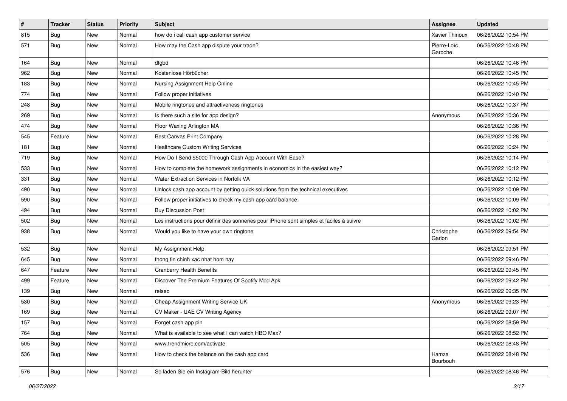| $\vert$ # | <b>Tracker</b> | <b>Status</b> | <b>Priority</b> | Subject                                                                                  | Assignee               | <b>Updated</b>      |
|-----------|----------------|---------------|-----------------|------------------------------------------------------------------------------------------|------------------------|---------------------|
| 815       | <b>Bug</b>     | New           | Normal          | how do i call cash app customer service                                                  | Xavier Thirioux        | 06/26/2022 10:54 PM |
| 571       | Bug            | New           | Normal          | How may the Cash app dispute your trade?                                                 | Pierre-Loïc<br>Garoche | 06/26/2022 10:48 PM |
| 164       | Bug            | New           | Normal          | dfgbd                                                                                    |                        | 06/26/2022 10:46 PM |
| 962       | Bug            | New           | Normal          | Kostenlose Hörbücher                                                                     |                        | 06/26/2022 10:45 PM |
| 183       | <b>Bug</b>     | New           | Normal          | Nursing Assignment Help Online                                                           |                        | 06/26/2022 10:45 PM |
| 774       | <b>Bug</b>     | New           | Normal          | Follow proper initiatives                                                                |                        | 06/26/2022 10:40 PM |
| 248       | <b>Bug</b>     | New           | Normal          | Mobile ringtones and attractiveness ringtones                                            |                        | 06/26/2022 10:37 PM |
| 269       | <b>Bug</b>     | New           | Normal          | Is there such a site for app design?                                                     | Anonymous              | 06/26/2022 10:36 PM |
| 474       | Bug            | New           | Normal          | Floor Waxing Arlington MA                                                                |                        | 06/26/2022 10:36 PM |
| 545       | Feature        | New           | Normal          | Best Canvas Print Company                                                                |                        | 06/26/2022 10:28 PM |
| 181       | <b>Bug</b>     | New           | Normal          | Healthcare Custom Writing Services                                                       |                        | 06/26/2022 10:24 PM |
| 719       | Bug            | New           | Normal          | How Do I Send \$5000 Through Cash App Account With Ease?                                 |                        | 06/26/2022 10:14 PM |
| 533       | <b>Bug</b>     | New           | Normal          | How to complete the homework assignments in economics in the easiest way?                |                        | 06/26/2022 10:12 PM |
| 331       | <b>Bug</b>     | New           | Normal          | Water Extraction Services in Norfolk VA                                                  |                        | 06/26/2022 10:12 PM |
| 490       | Bug            | New           | Normal          | Unlock cash app account by getting quick solutions from the technical executives         |                        | 06/26/2022 10:09 PM |
| 590       | Bug            | New           | Normal          | Follow proper initiatives to check my cash app card balance:                             |                        | 06/26/2022 10:09 PM |
| 494       | Bug            | New           | Normal          | <b>Buy Discussion Post</b>                                                               |                        | 06/26/2022 10:02 PM |
| 502       | <b>Bug</b>     | New           | Normal          | Les instructions pour définir des sonneries pour iPhone sont simples et faciles à suivre |                        | 06/26/2022 10:02 PM |
| 938       | <b>Bug</b>     | New           | Normal          | Would you like to have your own ringtone                                                 | Christophe<br>Garion   | 06/26/2022 09:54 PM |
| 532       | Bug            | New           | Normal          | My Assignment Help                                                                       |                        | 06/26/2022 09:51 PM |
| 645       | Bug            | New           | Normal          | thong tin chinh xac nhat hom nay                                                         |                        | 06/26/2022 09:46 PM |
| 647       | Feature        | New           | Normal          | <b>Cranberry Health Benefits</b>                                                         |                        | 06/26/2022 09:45 PM |
| 499       | Feature        | New           | Normal          | Discover The Premium Features Of Spotify Mod Apk                                         |                        | 06/26/2022 09:42 PM |
| 139       | <b>Bug</b>     | New           | Normal          | relseo                                                                                   |                        | 06/26/2022 09:35 PM |
| 530       | <b>Bug</b>     | New           | Normal          | Cheap Assignment Writing Service UK                                                      | Anonymous              | 06/26/2022 09:23 PM |
| 169       | <b>Bug</b>     | <b>New</b>    | Normal          | CV Maker - UAE CV Writing Agency                                                         |                        | 06/26/2022 09:07 PM |
| 157       | Bug            | New           | Normal          | Forget cash app pin                                                                      |                        | 06/26/2022 08:59 PM |
| 764       | Bug            | New           | Normal          | What is available to see what I can watch HBO Max?                                       |                        | 06/26/2022 08:52 PM |
| 505       | Bug            | New           | Normal          | www.trendmicro.com/activate                                                              |                        | 06/26/2022 08:48 PM |
| 536       | <b>Bug</b>     | New           | Normal          | How to check the balance on the cash app card                                            | Hamza<br>Bourbouh      | 06/26/2022 08:48 PM |
| 576       | Bug            | New           | Normal          | So laden Sie ein Instagram-Bild herunter                                                 |                        | 06/26/2022 08:46 PM |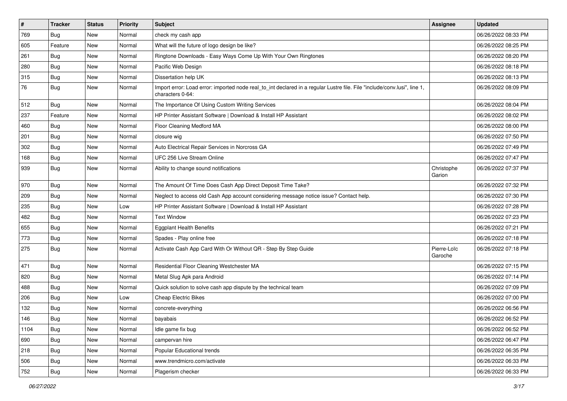| $\vert$ # | <b>Tracker</b> | <b>Status</b> | <b>Priority</b> | Subject                                                                                                                                      | <b>Assignee</b>        | <b>Updated</b>      |
|-----------|----------------|---------------|-----------------|----------------------------------------------------------------------------------------------------------------------------------------------|------------------------|---------------------|
| 769       | <b>Bug</b>     | New           | Normal          | check my cash app                                                                                                                            |                        | 06/26/2022 08:33 PM |
| 605       | Feature        | New           | Normal          | What will the future of logo design be like?                                                                                                 |                        | 06/26/2022 08:25 PM |
| 261       | Bug            | New           | Normal          | Ringtone Downloads - Easy Ways Come Up With Your Own Ringtones                                                                               |                        | 06/26/2022 08:20 PM |
| 280       | <b>Bug</b>     | New           | Normal          | Pacific Web Design                                                                                                                           |                        | 06/26/2022 08:18 PM |
| 315       | Bug            | New           | Normal          | Dissertation help UK                                                                                                                         |                        | 06/26/2022 08:13 PM |
| 76        | <b>Bug</b>     | New           | Normal          | Import error: Load error: imported node real_to_int declared in a regular Lustre file. File "include/conv.lusi", line 1,<br>characters 0-64: |                        | 06/26/2022 08:09 PM |
| 512       | Bug            | New           | Normal          | The Importance Of Using Custom Writing Services                                                                                              |                        | 06/26/2022 08:04 PM |
| 237       | Feature        | New           | Normal          | HP Printer Assistant Software   Download & Install HP Assistant                                                                              |                        | 06/26/2022 08:02 PM |
| 460       | Bug            | <b>New</b>    | Normal          | Floor Cleaning Medford MA                                                                                                                    |                        | 06/26/2022 08:00 PM |
| 201       | Bug            | New           | Normal          | closure wig                                                                                                                                  |                        | 06/26/2022 07:50 PM |
| 302       | <b>Bug</b>     | New           | Normal          | Auto Electrical Repair Services in Norcross GA                                                                                               |                        | 06/26/2022 07:49 PM |
| 168       | Bug            | New           | Normal          | UFC 256 Live Stream Online                                                                                                                   |                        | 06/26/2022 07:47 PM |
| 939       | <b>Bug</b>     | New           | Normal          | Ability to change sound notifications                                                                                                        | Christophe<br>Garion   | 06/26/2022 07:37 PM |
| 970       | Bug            | New           | Normal          | The Amount Of Time Does Cash App Direct Deposit Time Take?                                                                                   |                        | 06/26/2022 07:32 PM |
| 209       | Bug            | New           | Normal          | Neglect to access old Cash App account considering message notice issue? Contact help.                                                       |                        | 06/26/2022 07:30 PM |
| 235       | Bug            | New           | Low             | HP Printer Assistant Software   Download & Install HP Assistant                                                                              |                        | 06/26/2022 07:28 PM |
| 482       | <b>Bug</b>     | New           | Normal          | <b>Text Window</b>                                                                                                                           |                        | 06/26/2022 07:23 PM |
| 655       | <b>Bug</b>     | New           | Normal          | <b>Eggplant Health Benefits</b>                                                                                                              |                        | 06/26/2022 07:21 PM |
| 773       | Bug            | New           | Normal          | Spades - Play online free                                                                                                                    |                        | 06/26/2022 07:18 PM |
| 275       | <b>Bug</b>     | New           | Normal          | Activate Cash App Card With Or Without QR - Step By Step Guide                                                                               | Pierre-Loïc<br>Garoche | 06/26/2022 07:18 PM |
| 471       | Bug            | New           | Normal          | Residential Floor Cleaning Westchester MA                                                                                                    |                        | 06/26/2022 07:15 PM |
| 820       | <b>Bug</b>     | New           | Normal          | Metal Slug Apk para Android                                                                                                                  |                        | 06/26/2022 07:14 PM |
| 488       | Bug            | New           | Normal          | Quick solution to solve cash app dispute by the technical team                                                                               |                        | 06/26/2022 07:09 PM |
| 206       | <b>Bug</b>     | New           | Low             | <b>Cheap Electric Bikes</b>                                                                                                                  |                        | 06/26/2022 07:00 PM |
| 132       | <b>Bug</b>     | New           | Normal          | concrete-everything                                                                                                                          |                        | 06/26/2022 06:56 PM |
| 146       | Bug            | New           | Normal          | bayabais                                                                                                                                     |                        | 06/26/2022 06:52 PM |
| 1104      | <b>Bug</b>     | New           | Normal          | Idle game fix bug                                                                                                                            |                        | 06/26/2022 06:52 PM |
| 690       | Bug            | New           | Normal          | campervan hire                                                                                                                               |                        | 06/26/2022 06:47 PM |
| 218       | Bug            | New           | Normal          | Popular Educational trends                                                                                                                   |                        | 06/26/2022 06:35 PM |
| 506       | <b>Bug</b>     | New           | Normal          | www.trendmicro.com/activate                                                                                                                  |                        | 06/26/2022 06:33 PM |
| 752       | Bug            | New           | Normal          | Plagerism checker                                                                                                                            |                        | 06/26/2022 06:33 PM |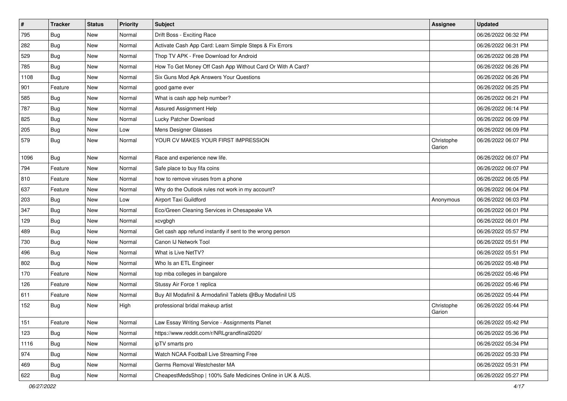| #    | <b>Tracker</b> | <b>Status</b> | <b>Priority</b> | Subject                                                    | <b>Assignee</b>      | <b>Updated</b>      |
|------|----------------|---------------|-----------------|------------------------------------------------------------|----------------------|---------------------|
| 795  | <b>Bug</b>     | New           | Normal          | Drift Boss - Exciting Race                                 |                      | 06/26/2022 06:32 PM |
| 282  | Bug            | New           | Normal          | Activate Cash App Card: Learn Simple Steps & Fix Errors    |                      | 06/26/2022 06:31 PM |
| 529  | Bug            | New           | Normal          | Thop TV APK - Free Download for Android                    |                      | 06/26/2022 06:28 PM |
| 785  | <b>Bug</b>     | New           | Normal          | How To Get Money Off Cash App Without Card Or With A Card? |                      | 06/26/2022 06:26 PM |
| 1108 | <b>Bug</b>     | <b>New</b>    | Normal          | Six Guns Mod Apk Answers Your Questions                    |                      | 06/26/2022 06:26 PM |
| 901  | Feature        | New           | Normal          | good game ever                                             |                      | 06/26/2022 06:25 PM |
| 585  | <b>Bug</b>     | New           | Normal          | What is cash app help number?                              |                      | 06/26/2022 06:21 PM |
| 787  | <b>Bug</b>     | New           | Normal          | <b>Assured Assignment Help</b>                             |                      | 06/26/2022 06:14 PM |
| 825  | <b>Bug</b>     | New           | Normal          | Lucky Patcher Download                                     |                      | 06/26/2022 06:09 PM |
| 205  | <b>Bug</b>     | New           | Low             | Mens Designer Glasses                                      |                      | 06/26/2022 06:09 PM |
| 579  | <b>Bug</b>     | New           | Normal          | YOUR CV MAKES YOUR FIRST IMPRESSION                        | Christophe<br>Garion | 06/26/2022 06:07 PM |
| 1096 | <b>Bug</b>     | New           | Normal          | Race and experience new life.                              |                      | 06/26/2022 06:07 PM |
| 794  | Feature        | New           | Normal          | Safe place to buy fifa coins                               |                      | 06/26/2022 06:07 PM |
| 810  | Feature        | New           | Normal          | how to remove viruses from a phone                         |                      | 06/26/2022 06:05 PM |
| 637  | Feature        | New           | Normal          | Why do the Outlook rules not work in my account?           |                      | 06/26/2022 06:04 PM |
| 203  | <b>Bug</b>     | New           | Low             | Airport Taxi Guildford                                     | Anonymous            | 06/26/2022 06:03 PM |
| 347  | Bug            | New           | Normal          | Eco/Green Cleaning Services in Chesapeake VA               |                      | 06/26/2022 06:01 PM |
| 129  | <b>Bug</b>     | New           | Normal          | xcvgbgh                                                    |                      | 06/26/2022 06:01 PM |
| 489  | <b>Bug</b>     | New           | Normal          | Get cash app refund instantly if sent to the wrong person  |                      | 06/26/2022 05:57 PM |
| 730  | <b>Bug</b>     | <b>New</b>    | Normal          | Canon IJ Network Tool                                      |                      | 06/26/2022 05:51 PM |
| 496  | <b>Bug</b>     | New           | Normal          | What is Live NetTV?                                        |                      | 06/26/2022 05:51 PM |
| 802  | <b>Bug</b>     | New           | Normal          | Who Is an ETL Engineer                                     |                      | 06/26/2022 05:48 PM |
| 170  | Feature        | New           | Normal          | top mba colleges in bangalore                              |                      | 06/26/2022 05:46 PM |
| 126  | Feature        | New           | Normal          | Stussy Air Force 1 replica                                 |                      | 06/26/2022 05:46 PM |
| 611  | Feature        | <b>New</b>    | Normal          | Buy All Modafinil & Armodafinil Tablets @Buy Modafinil US  |                      | 06/26/2022 05:44 PM |
| 152  | <b>Bug</b>     | New           | High            | professional bridal makeup artist                          | Christophe<br>Garion | 06/26/2022 05:44 PM |
| 151  | Feature        | New           | Normal          | Law Essay Writing Service - Assignments Planet             |                      | 06/26/2022 05:42 PM |
| 123  | <b>Bug</b>     | New           | Normal          | https://www.reddit.com/r/NRLgrandfinal2020/                |                      | 06/26/2022 05:36 PM |
| 1116 | Bug            | New           | Normal          | ipTV smarts pro                                            |                      | 06/26/2022 05:34 PM |
| 974  | <b>Bug</b>     | New           | Normal          | Watch NCAA Football Live Streaming Free                    |                      | 06/26/2022 05:33 PM |
| 469  | <b>Bug</b>     | New           | Normal          | Germs Removal Westchester MA                               |                      | 06/26/2022 05:31 PM |
| 622  | <b>Bug</b>     | New           | Normal          | CheapestMedsShop   100% Safe Medicines Online in UK & AUS. |                      | 06/26/2022 05:27 PM |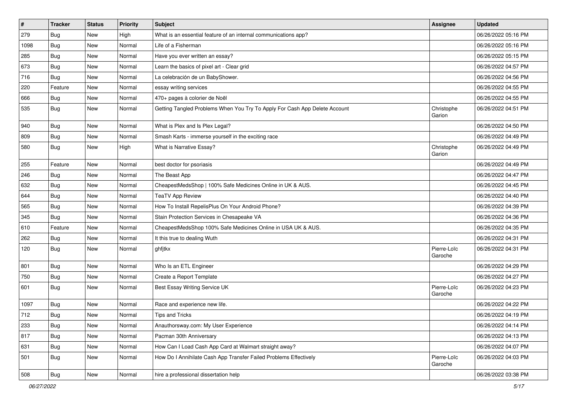| $\vert$ # | <b>Tracker</b> | <b>Status</b> | <b>Priority</b> | Subject                                                                    | <b>Assignee</b>        | <b>Updated</b>      |
|-----------|----------------|---------------|-----------------|----------------------------------------------------------------------------|------------------------|---------------------|
| 279       | Bug            | New           | High            | What is an essential feature of an internal communications app?            |                        | 06/26/2022 05:16 PM |
| 1098      | <b>Bug</b>     | New           | Normal          | Life of a Fisherman                                                        |                        | 06/26/2022 05:16 PM |
| 285       | Bug            | New           | Normal          | Have you ever written an essay?                                            |                        | 06/26/2022 05:15 PM |
| 673       | Bug            | <b>New</b>    | Normal          | Learn the basics of pixel art - Clear grid                                 |                        | 06/26/2022 04:57 PM |
| 716       | <b>Bug</b>     | New           | Normal          | La celebración de un BabyShower.                                           |                        | 06/26/2022 04:56 PM |
| 220       | Feature        | New           | Normal          | essay writing services                                                     |                        | 06/26/2022 04:55 PM |
| 666       | Bug            | New           | Normal          | 470+ pages à colorier de Noël                                              |                        | 06/26/2022 04:55 PM |
| 535       | <b>Bug</b>     | New           | Normal          | Getting Tangled Problems When You Try To Apply For Cash App Delete Account | Christophe<br>Garion   | 06/26/2022 04:51 PM |
| 940       | Bug            | <b>New</b>    | Normal          | What is Plex and Is Plex Legal?                                            |                        | 06/26/2022 04:50 PM |
| 809       | Bug            | New           | Normal          | Smash Karts - immerse yourself in the exciting race                        |                        | 06/26/2022 04:49 PM |
| 580       | <b>Bug</b>     | New           | High            | What is Narrative Essay?                                                   | Christophe<br>Garion   | 06/26/2022 04:49 PM |
| 255       | Feature        | <b>New</b>    | Normal          | best doctor for psoriasis                                                  |                        | 06/26/2022 04:49 PM |
| 246       | Bug            | New           | Normal          | The Beast App                                                              |                        | 06/26/2022 04:47 PM |
| 632       | Bug            | <b>New</b>    | Normal          | CheapestMedsShop   100% Safe Medicines Online in UK & AUS.                 |                        | 06/26/2022 04:45 PM |
| 644       | Bug            | New           | Normal          | <b>TeaTV App Review</b>                                                    |                        | 06/26/2022 04:40 PM |
| 565       | Bug            | New           | Normal          | How To Install RepelisPlus On Your Android Phone?                          |                        | 06/26/2022 04:39 PM |
| 345       | <b>Bug</b>     | New           | Normal          | Stain Protection Services in Chesapeake VA                                 |                        | 06/26/2022 04:36 PM |
| 610       | Feature        | New           | Normal          | CheapestMedsShop 100% Safe Medicines Online in USA UK & AUS.               |                        | 06/26/2022 04:35 PM |
| 262       | Bug            | New           | Normal          | It this true to dealing Wuth                                               |                        | 06/26/2022 04:31 PM |
| 120       | <b>Bug</b>     | New           | Normal          | ghfjtkx                                                                    | Pierre-Loïc<br>Garoche | 06/26/2022 04:31 PM |
| 801       | Bug            | New           | Normal          | Who Is an ETL Engineer                                                     |                        | 06/26/2022 04:29 PM |
| 750       | <b>Bug</b>     | New           | Normal          | Create a Report Template                                                   |                        | 06/26/2022 04:27 PM |
| 601       | Bug            | New           | Normal          | Best Essay Writing Service UK                                              | Pierre-Loïc<br>Garoche | 06/26/2022 04:23 PM |
| 1097      | Bug            | New           | Normal          | Race and experience new life.                                              |                        | 06/26/2022 04:22 PM |
| 712       | Bug            | New           | Normal          | <b>Tips and Tricks</b>                                                     |                        | 06/26/2022 04:19 PM |
| 233       | <b>Bug</b>     | New           | Normal          | Anauthorsway.com: My User Experience                                       |                        | 06/26/2022 04:14 PM |
| 817       | Bug            | New           | Normal          | Pacman 30th Anniversary                                                    |                        | 06/26/2022 04:13 PM |
| 631       | Bug            | New           | Normal          | How Can I Load Cash App Card at Walmart straight away?                     |                        | 06/26/2022 04:07 PM |
| 501       | Bug            | New           | Normal          | How Do I Annihilate Cash App Transfer Failed Problems Effectively          | Pierre-Loïc<br>Garoche | 06/26/2022 04:03 PM |
| 508       | Bug            | New           | Normal          | hire a professional dissertation help                                      |                        | 06/26/2022 03:38 PM |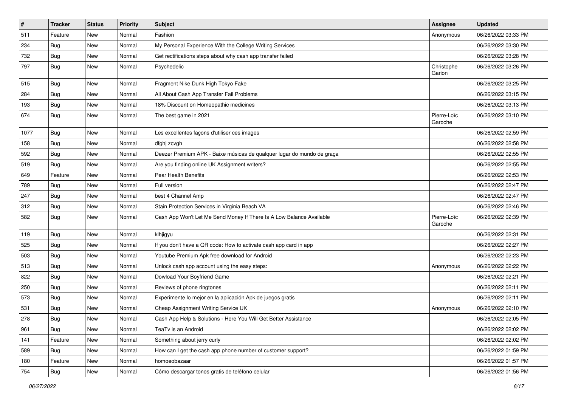| $\vert$ # | <b>Tracker</b> | <b>Status</b> | <b>Priority</b> | Subject                                                                | <b>Assignee</b>        | <b>Updated</b>      |
|-----------|----------------|---------------|-----------------|------------------------------------------------------------------------|------------------------|---------------------|
| 511       | Feature        | New           | Normal          | Fashion                                                                | Anonymous              | 06/26/2022 03:33 PM |
| 234       | <b>Bug</b>     | New           | Normal          | My Personal Experience With the College Writing Services               |                        | 06/26/2022 03:30 PM |
| 732       | <b>Bug</b>     | New           | Normal          | Get rectifications steps about why cash app transfer failed            |                        | 06/26/2022 03:28 PM |
| 797       | <b>Bug</b>     | New           | Normal          | Psychedelic                                                            | Christophe<br>Garion   | 06/26/2022 03:26 PM |
| 515       | <b>Bug</b>     | New           | Normal          | Fragment Nike Dunk High Tokyo Fake                                     |                        | 06/26/2022 03:25 PM |
| 284       | Bug            | New           | Normal          | All About Cash App Transfer Fail Problems                              |                        | 06/26/2022 03:15 PM |
| 193       | Bug            | New           | Normal          | 18% Discount on Homeopathic medicines                                  |                        | 06/26/2022 03:13 PM |
| 674       | Bug            | New           | Normal          | The best game in 2021                                                  | Pierre-Loïc<br>Garoche | 06/26/2022 03:10 PM |
| 1077      | Bug            | New           | Normal          | Les excellentes façons d'utiliser ces images                           |                        | 06/26/2022 02:59 PM |
| 158       | <b>Bug</b>     | New           | Normal          | dfghj zcvgh                                                            |                        | 06/26/2022 02:58 PM |
| 592       | Bug            | New           | Normal          | Deezer Premium APK - Baixe músicas de qualquer lugar do mundo de graça |                        | 06/26/2022 02:55 PM |
| 519       | <b>Bug</b>     | New           | Normal          | Are you finding online UK Assignment writers?                          |                        | 06/26/2022 02:55 PM |
| 649       | Feature        | New           | Normal          | Pear Health Benefits                                                   |                        | 06/26/2022 02:53 PM |
| 789       | <b>Bug</b>     | New           | Normal          | Full version                                                           |                        | 06/26/2022 02:47 PM |
| 247       | <b>Bug</b>     | New           | Normal          | best 4 Channel Amp                                                     |                        | 06/26/2022 02:47 PM |
| 312       | Bug            | New           | Normal          | Stain Protection Services in Virginia Beach VA                         |                        | 06/26/2022 02:46 PM |
| 582       | <b>Bug</b>     | New           | Normal          | Cash App Won't Let Me Send Money If There Is A Low Balance Available   | Pierre-Loïc<br>Garoche | 06/26/2022 02:39 PM |
| 119       | Bug            | New           | Normal          | klhjigyu                                                               |                        | 06/26/2022 02:31 PM |
| 525       | Bug            | New           | Normal          | If you don't have a QR code: How to activate cash app card in app      |                        | 06/26/2022 02:27 PM |
| 503       | Bug            | New           | Normal          | Youtube Premium Apk free download for Android                          |                        | 06/26/2022 02:23 PM |
| 513       | Bug            | New           | Normal          | Unlock cash app account using the easy steps:                          | Anonymous              | 06/26/2022 02:22 PM |
| 822       | <b>Bug</b>     | New           | Normal          | Dowload Your Boyfriend Game                                            |                        | 06/26/2022 02:21 PM |
| 250       | Bug            | New           | Normal          | Reviews of phone ringtones                                             |                        | 06/26/2022 02:11 PM |
| 573       | <b>Bug</b>     | New           | Normal          | Experimente lo mejor en la aplicación Apk de juegos gratis             |                        | 06/26/2022 02:11 PM |
| 531       | <b>Bug</b>     | New           | Normal          | Cheap Assignment Writing Service UK                                    | Anonymous              | 06/26/2022 02:10 PM |
| 278       | Bug            | New           | Normal          | Cash App Help & Solutions - Here You Will Get Better Assistance        |                        | 06/26/2022 02:05 PM |
| 961       | Bug            | New           | Normal          | TeaTv is an Android                                                    |                        | 06/26/2022 02:02 PM |
| 141       | Feature        | New           | Normal          | Something about jerry curly                                            |                        | 06/26/2022 02:02 PM |
| 589       | <b>Bug</b>     | New           | Normal          | How can I get the cash app phone number of customer support?           |                        | 06/26/2022 01:59 PM |
| 180       | Feature        | New           | Normal          | homoeobazaar                                                           |                        | 06/26/2022 01:57 PM |
| 754       | <b>Bug</b>     | New           | Normal          | Cómo descargar tonos gratis de teléfono celular                        |                        | 06/26/2022 01:56 PM |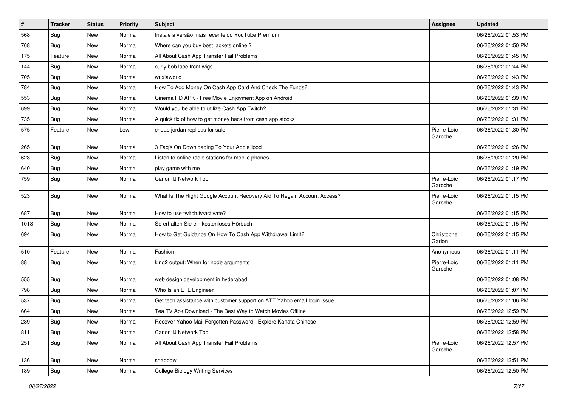| $\vert$ # | <b>Tracker</b> | <b>Status</b> | <b>Priority</b> | Subject                                                                   | <b>Assignee</b>        | <b>Updated</b>      |
|-----------|----------------|---------------|-----------------|---------------------------------------------------------------------------|------------------------|---------------------|
| 568       | Bug            | New           | Normal          | Instale a versão mais recente do YouTube Premium                          |                        | 06/26/2022 01:53 PM |
| 768       | Bug            | New           | Normal          | Where can you buy best jackets online?                                    |                        | 06/26/2022 01:50 PM |
| 175       | Feature        | New           | Normal          | All About Cash App Transfer Fail Problems                                 |                        | 06/26/2022 01:45 PM |
| 144       | <b>Bug</b>     | New           | Normal          | curly bob lace front wigs                                                 |                        | 06/26/2022 01:44 PM |
| 705       | Bug            | New           | Normal          | wuxiaworld                                                                |                        | 06/26/2022 01:43 PM |
| 784       | <b>Bug</b>     | New           | Normal          | How To Add Money On Cash App Card And Check The Funds?                    |                        | 06/26/2022 01:43 PM |
| 553       | <b>Bug</b>     | New           | Normal          | Cinema HD APK - Free Movie Enjoyment App on Android                       |                        | 06/26/2022 01:39 PM |
| 699       | Bug            | New           | Normal          | Would you be able to utilize Cash App Twitch?                             |                        | 06/26/2022 01:31 PM |
| 735       | <b>Bug</b>     | New           | Normal          | A quick fix of how to get money back from cash app stocks                 |                        | 06/26/2022 01:31 PM |
| 575       | Feature        | New           | Low             | cheap jordan replicas for sale                                            | Pierre-Loïc<br>Garoche | 06/26/2022 01:30 PM |
| 265       | Bug            | New           | Normal          | 3 Faq's On Downloading To Your Apple Ipod                                 |                        | 06/26/2022 01:26 PM |
| 623       | Bug            | New           | Normal          | Listen to online radio stations for mobile phones                         |                        | 06/26/2022 01:20 PM |
| 640       | <b>Bug</b>     | New           | Normal          | play game with me                                                         |                        | 06/26/2022 01:19 PM |
| 759       | <b>Bug</b>     | New           | Normal          | Canon IJ Network Tool                                                     | Pierre-Loïc<br>Garoche | 06/26/2022 01:17 PM |
| 523       | Bug            | New           | Normal          | What Is The Right Google Account Recovery Aid To Regain Account Access?   | Pierre-Loïc<br>Garoche | 06/26/2022 01:15 PM |
| 687       | <b>Bug</b>     | New           | Normal          | How to use twitch.tv/activate?                                            |                        | 06/26/2022 01:15 PM |
| 1018      | <b>Bug</b>     | New           | Normal          | So erhalten Sie ein kostenloses Hörbuch                                   |                        | 06/26/2022 01:15 PM |
| 694       | Bug            | New           | Normal          | How to Get Guidance On How To Cash App Withdrawal Limit?                  | Christophe<br>Garion   | 06/26/2022 01:15 PM |
| 510       | Feature        | New           | Normal          | Fashion                                                                   | Anonymous              | 06/26/2022 01:11 PM |
| 88        | Bug            | New           | Normal          | kind2 output: When for node arguments                                     | Pierre-Loïc<br>Garoche | 06/26/2022 01:11 PM |
| 555       | Bug            | New           | Normal          | web design development in hyderabad                                       |                        | 06/26/2022 01:08 PM |
| 798       | <b>Bug</b>     | New           | Normal          | Who Is an ETL Engineer                                                    |                        | 06/26/2022 01:07 PM |
| 537       | <b>Bug</b>     | New           | Normal          | Get tech assistance with customer support on ATT Yahoo email login issue. |                        | 06/26/2022 01:06 PM |
| 664       | <b>Bug</b>     | New           | Normal          | Tea TV Apk Download - The Best Way to Watch Movies Offline                |                        | 06/26/2022 12:59 PM |
| 289       | Bug            | New           | Normal          | Recover Yahoo Mail Forgotten Password - Explore Kanata Chinese            |                        | 06/26/2022 12:59 PM |
| 811       | Bug            | New           | Normal          | Canon IJ Network Tool                                                     |                        | 06/26/2022 12:58 PM |
| 251       | Bug            | New           | Normal          | All About Cash App Transfer Fail Problems                                 | Pierre-Loïc<br>Garoche | 06/26/2022 12:57 PM |
| 136       | Bug            | New           | Normal          | snappow                                                                   |                        | 06/26/2022 12:51 PM |
| 189       | Bug            | New           | Normal          | <b>College Biology Writing Services</b>                                   |                        | 06/26/2022 12:50 PM |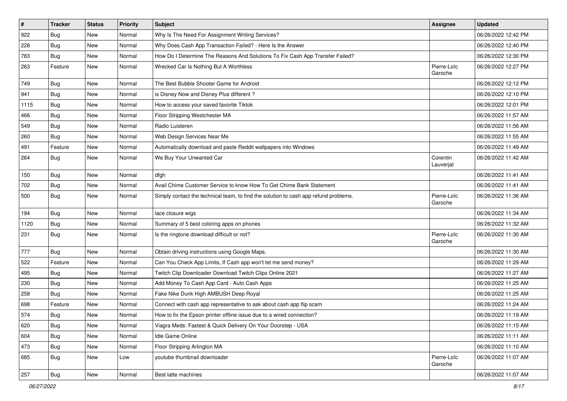| $\sharp$ | <b>Tracker</b> | <b>Status</b> | <b>Priority</b> | Subject                                                                              | <b>Assignee</b>        | <b>Updated</b>      |
|----------|----------------|---------------|-----------------|--------------------------------------------------------------------------------------|------------------------|---------------------|
| 922      | Bug            | New           | Normal          | Why Is The Need For Assignment Writing Services?                                     |                        | 06/26/2022 12:42 PM |
| 228      | <b>Bug</b>     | <b>New</b>    | Normal          | Why Does Cash App Transaction Failed? - Here Is the Answer                           |                        | 06/26/2022 12:40 PM |
| 783      | Bug            | New           | Normal          | How Do I Determine The Reasons And Solutions To Fix Cash App Transfer Failed?        |                        | 06/26/2022 12:30 PM |
| 263      | Feature        | New           | Normal          | Wrecked Car Is Nothing But A Worthless                                               | Pierre-Loïc<br>Garoche | 06/26/2022 12:27 PM |
| 749      | Bug            | New           | Normal          | The Best Bubble Shooter Game for Android                                             |                        | 06/26/2022 12:12 PM |
| 941      | Bug            | New           | Normal          | is Disney Now and Disney Plus different?                                             |                        | 06/26/2022 12:10 PM |
| 1115     | Bug            | New           | Normal          | How to access your saved favorite Tiktok                                             |                        | 06/26/2022 12:01 PM |
| 466      | <b>Bug</b>     | New           | Normal          | Floor Stripping Westchester MA                                                       |                        | 06/26/2022 11:57 AM |
| 549      | Bug            | New           | Normal          | Radio Luisteren                                                                      |                        | 06/26/2022 11:56 AM |
| 260      | <b>Bug</b>     | New           | Normal          | Web Design Services Near Me                                                          |                        | 06/26/2022 11:55 AM |
| 491      | Feature        | New           | Normal          | Automatically download and paste Reddit wallpapers into Windows                      |                        | 06/26/2022 11:49 AM |
| 264      | <b>Bug</b>     | New           | Normal          | We Buy Your Unwanted Car                                                             | Corentin<br>Lauverjat  | 06/26/2022 11:42 AM |
| 150      | <b>Bug</b>     | New           | Normal          | dfgh                                                                                 |                        | 06/26/2022 11:41 AM |
| 702      | Bug            | New           | Normal          | Avail Chime Customer Service to know How To Get Chime Bank Statement                 |                        | 06/26/2022 11:41 AM |
| 500      | <b>Bug</b>     | New           | Normal          | Simply contact the technical team, to find the solution to cash app refund problems. | Pierre-Loïc<br>Garoche | 06/26/2022 11:36 AM |
| 194      | <b>Bug</b>     | New           | Normal          | lace closure wigs                                                                    |                        | 06/26/2022 11:34 AM |
| 1120     | Bug            | New           | Normal          | Summary of 5 best coloring apps on phones                                            |                        | 06/26/2022 11:32 AM |
| 231      | <b>Bug</b>     | New           | Normal          | Is the ringtone download difficult or not?                                           | Pierre-Loïc<br>Garoche | 06/26/2022 11:30 AM |
| 777      | <b>Bug</b>     | New           | Normal          | Obtain driving instructions using Google Maps.                                       |                        | 06/26/2022 11:30 AM |
| 522      | Feature        | New           | Normal          | Can You Check App Limits, If Cash app won't let me send money?                       |                        | 06/26/2022 11:29 AM |
| 495      | <b>Bug</b>     | New           | Normal          | Twitch Clip Downloader Download Twitch Clips Online 2021                             |                        | 06/26/2022 11:27 AM |
| 230      | Bug            | New           | Normal          | Add Money To Cash App Card - Auto Cash Apps                                          |                        | 06/26/2022 11:25 AM |
| 258      | <b>Bug</b>     | New           | Normal          | Fake Nike Dunk High AMBUSH Deep Royal                                                |                        | 06/26/2022 11:25 AM |
| 698      | Feature        | New           | Normal          | Connect with cash app representative to ask about cash app flip scam                 |                        | 06/26/2022 11:24 AM |
| 574      | Bug            | New           | Normal          | How to fix the Epson printer offline issue due to a wired connection?                |                        | 06/26/2022 11:19 AM |
| 620      | <b>Bug</b>     | New           | Normal          | Viagra Meds: Fastest & Quick Delivery On Your Doorstep - USA                         |                        | 06/26/2022 11:15 AM |
| 604      | <b>Bug</b>     | New           | Normal          | Idle Game Online                                                                     |                        | 06/26/2022 11:11 AM |
| 473      | <b>Bug</b>     | New           | Normal          | Floor Stripping Arlington MA                                                         |                        | 06/26/2022 11:10 AM |
| 685      | <b>Bug</b>     | New           | Low             | youtube thumbnail downloader                                                         | Pierre-Loïc<br>Garoche | 06/26/2022 11:07 AM |
| 257      | <b>Bug</b>     | New           | Normal          | Best latte machines                                                                  |                        | 06/26/2022 11:07 AM |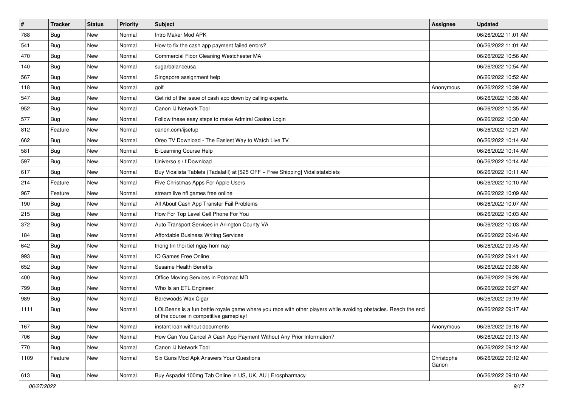| $\sharp$ | <b>Tracker</b> | <b>Status</b> | <b>Priority</b> | <b>Subject</b>                                                                                                                                           | <b>Assignee</b>      | <b>Updated</b>      |
|----------|----------------|---------------|-----------------|----------------------------------------------------------------------------------------------------------------------------------------------------------|----------------------|---------------------|
| 788      | Bug            | New           | Normal          | Intro Maker Mod APK                                                                                                                                      |                      | 06/26/2022 11:01 AM |
| 541      | Bug            | <b>New</b>    | Normal          | How to fix the cash app payment failed errors?                                                                                                           |                      | 06/26/2022 11:01 AM |
| 470      | Bug            | New           | Normal          | Commercial Floor Cleaning Westchester MA                                                                                                                 |                      | 06/26/2022 10:56 AM |
| 140      | Bug            | New           | Normal          | sugarbalanceusa                                                                                                                                          |                      | 06/26/2022 10:54 AM |
| 567      | Bug            | <b>New</b>    | Normal          | Singapore assignment help                                                                                                                                |                      | 06/26/2022 10:52 AM |
| 118      | <b>Bug</b>     | New           | Normal          | golf                                                                                                                                                     | Anonymous            | 06/26/2022 10:39 AM |
| 547      | Bug            | New           | Normal          | Get rid of the issue of cash app down by calling experts.                                                                                                |                      | 06/26/2022 10:38 AM |
| 952      | <b>Bug</b>     | New           | Normal          | Canon IJ Network Tool                                                                                                                                    |                      | 06/26/2022 10:35 AM |
| 577      | <b>Bug</b>     | New           | Normal          | Follow these easy steps to make Admiral Casino Login                                                                                                     |                      | 06/26/2022 10:30 AM |
| 812      | Feature        | New           | Normal          | canon.com/ijsetup                                                                                                                                        |                      | 06/26/2022 10:21 AM |
| 662      | <b>Bug</b>     | New           | Normal          | Oreo TV Download - The Easiest Way to Watch Live TV                                                                                                      |                      | 06/26/2022 10:14 AM |
| 581      | Bug            | New           | Normal          | E-Learning Course Help                                                                                                                                   |                      | 06/26/2022 10:14 AM |
| 597      | Bug            | New           | Normal          | Universo s / f Download                                                                                                                                  |                      | 06/26/2022 10:14 AM |
| 617      | <b>Bug</b>     | New           | Normal          | Buy Vidalista Tablets (Tadalafil) at [\$25 OFF + Free Shipping] Vidalistatablets                                                                         |                      | 06/26/2022 10:11 AM |
| 214      | Feature        | New           | Normal          | Five Christmas Apps For Apple Users                                                                                                                      |                      | 06/26/2022 10:10 AM |
| 967      | Feature        | New           | Normal          | stream live nfl games free online                                                                                                                        |                      | 06/26/2022 10:09 AM |
| 190      | Bug            | New           | Normal          | All About Cash App Transfer Fail Problems                                                                                                                |                      | 06/26/2022 10:07 AM |
| 215      | <b>Bug</b>     | New           | Normal          | How For Top Level Cell Phone For You                                                                                                                     |                      | 06/26/2022 10:03 AM |
| 372      | Bug            | New           | Normal          | Auto Transport Services in Arlington County VA                                                                                                           |                      | 06/26/2022 10:03 AM |
| 184      | <b>Bug</b>     | New           | Normal          | Affordable Business Writing Services                                                                                                                     |                      | 06/26/2022 09:46 AM |
| 642      | Bug            | New           | Normal          | thong tin thoi tiet ngay hom nay                                                                                                                         |                      | 06/26/2022 09:45 AM |
| 993      | <b>Bug</b>     | New           | Normal          | IO Games Free Online                                                                                                                                     |                      | 06/26/2022 09:41 AM |
| 652      | Bug            | New           | Normal          | <b>Sesame Health Benefits</b>                                                                                                                            |                      | 06/26/2022 09:38 AM |
| 400      | <b>Bug</b>     | New           | Normal          | Office Moving Services in Potomac MD                                                                                                                     |                      | 06/26/2022 09:28 AM |
| 799      | <b>Bug</b>     | New           | Normal          | Who Is an ETL Engineer                                                                                                                                   |                      | 06/26/2022 09:27 AM |
| 989      | <b>Bug</b>     | New           | Normal          | Barewoods Wax Cigar                                                                                                                                      |                      | 06/26/2022 09:19 AM |
| 1111     | <b>Bug</b>     | New           | Normal          | LOLBeans is a fun battle royale game where you race with other players while avoiding obstacles. Reach the end<br>of the course in competitive gameplay! |                      | 06/26/2022 09:17 AM |
| 167      | Bug            | New           | Normal          | instant loan without documents                                                                                                                           | Anonymous            | 06/26/2022 09:16 AM |
| 706      | <b>Bug</b>     | New           | Normal          | How Can You Cancel A Cash App Payment Without Any Prior Information?                                                                                     |                      | 06/26/2022 09:13 AM |
| 770      | Bug            | New           | Normal          | Canon IJ Network Tool                                                                                                                                    |                      | 06/26/2022 09:12 AM |
| 1109     | Feature        | New           | Normal          | Six Guns Mod Apk Answers Your Questions                                                                                                                  | Christophe<br>Garion | 06/26/2022 09:12 AM |
| 613      | <b>Bug</b>     | New           | Normal          | Buy Aspadol 100mg Tab Online in US, UK, AU   Erospharmacy                                                                                                |                      | 06/26/2022 09:10 AM |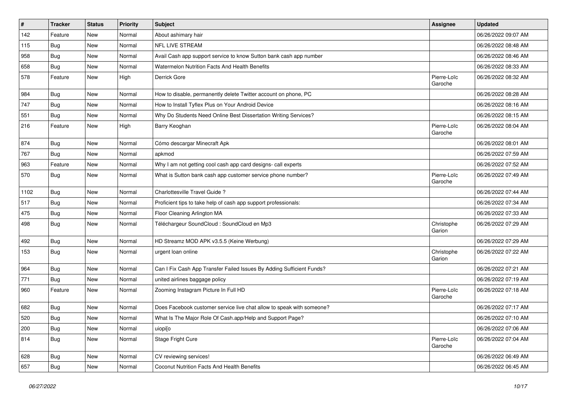| $\vert$ # | <b>Tracker</b> | <b>Status</b> | <b>Priority</b> | Subject                                                               | <b>Assignee</b>        | <b>Updated</b>      |
|-----------|----------------|---------------|-----------------|-----------------------------------------------------------------------|------------------------|---------------------|
| 142       | Feature        | New           | Normal          | About ashimary hair                                                   |                        | 06/26/2022 09:07 AM |
| 115       | <b>Bug</b>     | New           | Normal          | <b>NFL LIVE STREAM</b>                                                |                        | 06/26/2022 08:48 AM |
| 958       | <b>Bug</b>     | New           | Normal          | Avail Cash app support service to know Sutton bank cash app number    |                        | 06/26/2022 08:46 AM |
| 658       | <b>Bug</b>     | New           | Normal          | <b>Watermelon Nutrition Facts And Health Benefits</b>                 |                        | 06/26/2022 08:33 AM |
| 578       | Feature        | New           | High            | Derrick Gore                                                          | Pierre-Loïc<br>Garoche | 06/26/2022 08:32 AM |
| 984       | <b>Bug</b>     | New           | Normal          | How to disable, permanently delete Twitter account on phone, PC       |                        | 06/26/2022 08:28 AM |
| 747       | <b>Bug</b>     | New           | Normal          | How to Install Tyflex Plus on Your Android Device                     |                        | 06/26/2022 08:16 AM |
| 551       | <b>Bug</b>     | New           | Normal          | Why Do Students Need Online Best Dissertation Writing Services?       |                        | 06/26/2022 08:15 AM |
| 216       | Feature        | New           | High            | Barry Keoghan                                                         | Pierre-Loïc<br>Garoche | 06/26/2022 08:04 AM |
| 874       | Bug            | New           | Normal          | Cómo descargar Minecraft Apk                                          |                        | 06/26/2022 08:01 AM |
| 767       | Bug            | New           | Normal          | apkmod                                                                |                        | 06/26/2022 07:59 AM |
| 963       | Feature        | New           | Normal          | Why I am not getting cool cash app card designs- call experts         |                        | 06/26/2022 07:52 AM |
| 570       | Bug            | New           | Normal          | What is Sutton bank cash app customer service phone number?           | Pierre-Loïc<br>Garoche | 06/26/2022 07:49 AM |
| 1102      | <b>Bug</b>     | New           | Normal          | Charlottesville Travel Guide ?                                        |                        | 06/26/2022 07:44 AM |
| 517       | Bug            | New           | Normal          | Proficient tips to take help of cash app support professionals:       |                        | 06/26/2022 07:34 AM |
| 475       | <b>Bug</b>     | New           | Normal          | Floor Cleaning Arlington MA                                           |                        | 06/26/2022 07:33 AM |
| 498       | <b>Bug</b>     | New           | Normal          | Téléchargeur SoundCloud : SoundCloud en Mp3                           | Christophe<br>Garion   | 06/26/2022 07:29 AM |
| 492       | Bug            | New           | Normal          | HD Streamz MOD APK v3.5.5 (Keine Werbung)                             |                        | 06/26/2022 07:29 AM |
| 153       | <b>Bug</b>     | New           | Normal          | urgent loan online                                                    | Christophe<br>Garion   | 06/26/2022 07:22 AM |
| 964       | <b>Bug</b>     | New           | Normal          | Can I Fix Cash App Transfer Failed Issues By Adding Sufficient Funds? |                        | 06/26/2022 07:21 AM |
| 771       | Bug            | New           | Normal          | united airlines baggage policy                                        |                        | 06/26/2022 07:19 AM |
| 960       | Feature        | New           | Normal          | Zooming Instagram Picture In Full HD                                  | Pierre-Loïc<br>Garoche | 06/26/2022 07:18 AM |
| 682       | Bug            | New           | Normal          | Does Facebook customer service live chat allow to speak with someone? |                        | 06/26/2022 07:17 AM |
| 520       | <b>Bug</b>     | New           | Normal          | What Is The Major Role Of Cash.app/Help and Support Page?             |                        | 06/26/2022 07:10 AM |
| 200       | Bug            | New           | Normal          | uiopi[o                                                               |                        | 06/26/2022 07:06 AM |
| 814       | <b>Bug</b>     | New           | Normal          | Stage Fright Cure                                                     | Pierre-Loïc<br>Garoche | 06/26/2022 07:04 AM |
| 628       | <b>Bug</b>     | New           | Normal          | CV reviewing services!                                                |                        | 06/26/2022 06:49 AM |
| 657       | Bug            | New           | Normal          | Coconut Nutrition Facts And Health Benefits                           |                        | 06/26/2022 06:45 AM |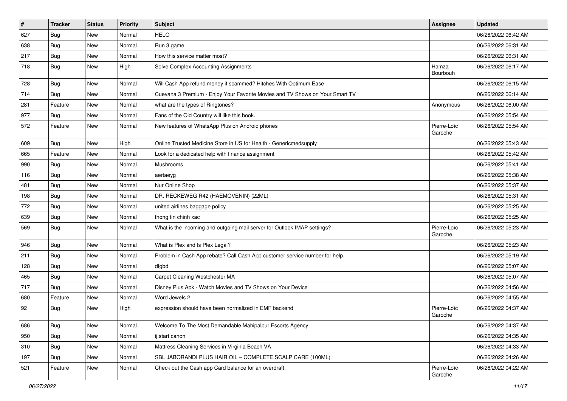| #   | <b>Tracker</b> | <b>Status</b> | <b>Priority</b> | Subject                                                                      | Assignee               | <b>Updated</b>      |
|-----|----------------|---------------|-----------------|------------------------------------------------------------------------------|------------------------|---------------------|
| 627 | <b>Bug</b>     | New           | Normal          | <b>HELO</b>                                                                  |                        | 06/26/2022 06:42 AM |
| 638 | <b>Bug</b>     | New           | Normal          | Run 3 game                                                                   |                        | 06/26/2022 06:31 AM |
| 217 | Bug            | New           | Normal          | How this service matter most?                                                |                        | 06/26/2022 06:31 AM |
| 718 | <b>Bug</b>     | New           | High            | Solve Complex Accounting Assignments                                         | Hamza<br>Bourbouh      | 06/26/2022 06:17 AM |
| 728 | <b>Bug</b>     | New           | Normal          | Will Cash App refund money if scammed? Hitches With Optimum Ease             |                        | 06/26/2022 06:15 AM |
| 714 | Bug            | New           | Normal          | Cuevana 3 Premium - Enjoy Your Favorite Movies and TV Shows on Your Smart TV |                        | 06/26/2022 06:14 AM |
| 281 | Feature        | New           | Normal          | what are the types of Ringtones?                                             | Anonymous              | 06/26/2022 06:00 AM |
| 977 | Bug            | New           | Normal          | Fans of the Old Country will like this book.                                 |                        | 06/26/2022 05:54 AM |
| 572 | Feature        | New           | Normal          | New features of WhatsApp Plus on Android phones                              | Pierre-Loïc<br>Garoche | 06/26/2022 05:54 AM |
| 609 | Bug            | <b>New</b>    | High            | Online Trusted Medicine Store in US for Health - Genericmedsupply            |                        | 06/26/2022 05:43 AM |
| 665 | Feature        | New           | Normal          | Look for a dedicated help with finance assignment                            |                        | 06/26/2022 05:42 AM |
| 990 | <b>Bug</b>     | New           | Normal          | Mushrooms                                                                    |                        | 06/26/2022 05:41 AM |
| 116 | Bug            | New           | Normal          | aertaeyg                                                                     |                        | 06/26/2022 05:38 AM |
| 481 | Bug            | New           | Normal          | Nur Online Shop                                                              |                        | 06/26/2022 05:37 AM |
| 198 | <b>Bug</b>     | New           | Normal          | DR. RECKEWEG R42 (HAEMOVENIN) (22ML)                                         |                        | 06/26/2022 05:31 AM |
| 772 | Bug            | New           | Normal          | united airlines baggage policy                                               |                        | 06/26/2022 05:25 AM |
| 639 | <b>Bug</b>     | New           | Normal          | thong tin chinh xac                                                          |                        | 06/26/2022 05:25 AM |
| 569 | <b>Bug</b>     | New           | Normal          | What is the incoming and outgoing mail server for Outlook IMAP settings?     | Pierre-Loïc<br>Garoche | 06/26/2022 05:23 AM |
| 946 | <b>Bug</b>     | New           | Normal          | What is Plex and Is Plex Legal?                                              |                        | 06/26/2022 05:23 AM |
| 211 | <b>Bug</b>     | New           | Normal          | Problem in Cash App rebate? Call Cash App customer service number for help.  |                        | 06/26/2022 05:19 AM |
| 128 | Bug            | New           | Normal          | dfgbd                                                                        |                        | 06/26/2022 05:07 AM |
| 465 | <b>Bug</b>     | New           | Normal          | Carpet Cleaning Westchester MA                                               |                        | 06/26/2022 05:07 AM |
| 717 | Bug            | New           | Normal          | Disney Plus Apk - Watch Movies and TV Shows on Your Device                   |                        | 06/26/2022 04:56 AM |
| 680 | Feature        | New           | Normal          | Word Jewels 2                                                                |                        | 06/26/2022 04:55 AM |
| 92  | <b>Bug</b>     | New           | High            | expression should have been normalized in EMF backend                        | Pierre-Loïc<br>Garoche | 06/26/2022 04:37 AM |
| 686 | <b>Bug</b>     | New           | Normal          | Welcome To The Most Demandable Mahipalpur Escorts Agency                     |                        | 06/26/2022 04:37 AM |
| 950 | Bug            | New           | Normal          | ij.start canon                                                               |                        | 06/26/2022 04:35 AM |
| 310 | <b>Bug</b>     | New           | Normal          | Mattress Cleaning Services in Virginia Beach VA                              |                        | 06/26/2022 04:33 AM |
| 197 | <b>Bug</b>     | New           | Normal          | SBL JABORANDI PLUS HAIR OIL - COMPLETE SCALP CARE (100ML)                    |                        | 06/26/2022 04:26 AM |
| 521 | Feature        | New           | Normal          | Check out the Cash app Card balance for an overdraft.                        | Pierre-Loïc<br>Garoche | 06/26/2022 04:22 AM |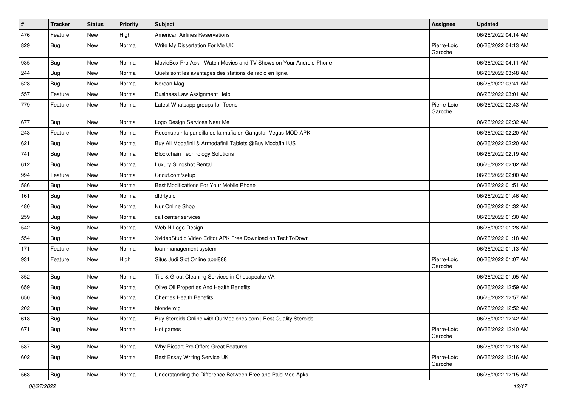| $\sharp$ | <b>Tracker</b> | <b>Status</b> | <b>Priority</b> | <b>Subject</b>                                                     | <b>Assignee</b>        | <b>Updated</b>      |
|----------|----------------|---------------|-----------------|--------------------------------------------------------------------|------------------------|---------------------|
| 476      | Feature        | New           | High            | <b>American Airlines Reservations</b>                              |                        | 06/26/2022 04:14 AM |
| 829      | Bug            | New           | Normal          | Write My Dissertation For Me UK                                    | Pierre-Loïc<br>Garoche | 06/26/2022 04:13 AM |
| 935      | Bug            | New           | Normal          | MovieBox Pro Apk - Watch Movies and TV Shows on Your Android Phone |                        | 06/26/2022 04:11 AM |
| 244      | Bug            | New           | Normal          | Quels sont les avantages des stations de radio en ligne.           |                        | 06/26/2022 03:48 AM |
| 528      | <b>Bug</b>     | New           | Normal          | Korean Mag                                                         |                        | 06/26/2022 03:41 AM |
| 557      | Feature        | New           | Normal          | <b>Business Law Assignment Help</b>                                |                        | 06/26/2022 03:01 AM |
| 779      | Feature        | New           | Normal          | Latest Whatsapp groups for Teens                                   | Pierre-Loïc<br>Garoche | 06/26/2022 02:43 AM |
| 677      | <b>Bug</b>     | New           | Normal          | Logo Design Services Near Me                                       |                        | 06/26/2022 02:32 AM |
| 243      | Feature        | New           | Normal          | Reconstruir la pandilla de la mafia en Gangstar Vegas MOD APK      |                        | 06/26/2022 02:20 AM |
| 621      | <b>Bug</b>     | New           | Normal          | Buy All Modafinil & Armodafinil Tablets @Buy Modafinil US          |                        | 06/26/2022 02:20 AM |
| 741      | Bug            | New           | Normal          | <b>Blockchain Technology Solutions</b>                             |                        | 06/26/2022 02:19 AM |
| 612      | Bug            | New           | Normal          | Luxury Slingshot Rental                                            |                        | 06/26/2022 02:02 AM |
| 994      | Feature        | New           | Normal          | Cricut.com/setup                                                   |                        | 06/26/2022 02:00 AM |
| 586      | Bug            | New           | Normal          | Best Modifications For Your Mobile Phone                           |                        | 06/26/2022 01:51 AM |
| 161      | <b>Bug</b>     | New           | Normal          | dfdrtyuio                                                          |                        | 06/26/2022 01:46 AM |
| 480      | Bug            | New           | Normal          | Nur Online Shop                                                    |                        | 06/26/2022 01:32 AM |
| 259      | <b>Bug</b>     | New           | Normal          | call center services                                               |                        | 06/26/2022 01:30 AM |
| 542      | Bug            | New           | Normal          | Web N Logo Design                                                  |                        | 06/26/2022 01:28 AM |
| 554      | <b>Bug</b>     | New           | Normal          | XvideoStudio Video Editor APK Free Download on TechToDown          |                        | 06/26/2022 01:18 AM |
| 171      | Feature        | New           | Normal          | loan management system                                             |                        | 06/26/2022 01:13 AM |
| 931      | Feature        | New           | High            | Situs Judi Slot Online apel888                                     | Pierre-Loïc<br>Garoche | 06/26/2022 01:07 AM |
| 352      | <b>Bug</b>     | <b>New</b>    | Normal          | Tile & Grout Cleaning Services in Chesapeake VA                    |                        | 06/26/2022 01:05 AM |
| 659      | Bug            | New           | Normal          | Olive Oil Properties And Health Benefits                           |                        | 06/26/2022 12:59 AM |
| 650      | <b>Bug</b>     | New           | Normal          | <b>Cherries Health Benefits</b>                                    |                        | 06/26/2022 12:57 AM |
| 202      | <b>Bug</b>     | New           | Normal          | blonde wig                                                         |                        | 06/26/2022 12:52 AM |
| 618      | <b>Bug</b>     | New           | Normal          | Buy Steroids Online with OurMedicnes.com   Best Quality Steroids   |                        | 06/26/2022 12:42 AM |
| 671      | <b>Bug</b>     | New           | Normal          | Hot games                                                          | Pierre-Loïc<br>Garoche | 06/26/2022 12:40 AM |
| 587      | <b>Bug</b>     | New           | Normal          | Why Picsart Pro Offers Great Features                              |                        | 06/26/2022 12:18 AM |
| 602      | <b>Bug</b>     | New           | Normal          | Best Essay Writing Service UK                                      | Pierre-Loïc<br>Garoche | 06/26/2022 12:16 AM |
| 563      | <b>Bug</b>     | New           | Normal          | Understanding the Difference Between Free and Paid Mod Apks        |                        | 06/26/2022 12:15 AM |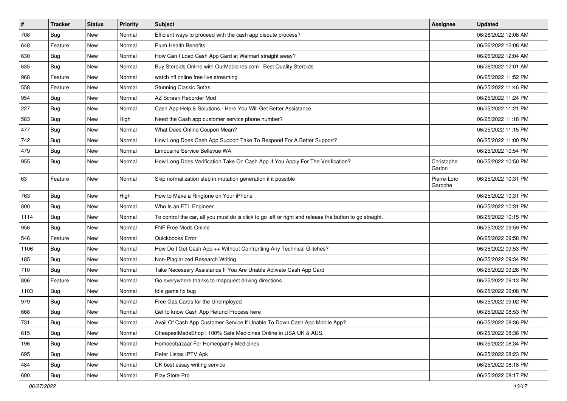| $\pmb{\#}$ | <b>Tracker</b> | <b>Status</b> | <b>Priority</b> | Subject                                                                                                 | Assignee               | <b>Updated</b>      |
|------------|----------------|---------------|-----------------|---------------------------------------------------------------------------------------------------------|------------------------|---------------------|
| 708        | <b>Bug</b>     | New           | Normal          | Efficient ways to proceed with the cash app dispute process?                                            |                        | 06/26/2022 12:08 AM |
| 648        | Feature        | <b>New</b>    | Normal          | <b>Plum Health Benefits</b>                                                                             |                        | 06/26/2022 12:08 AM |
| 630        | Bug            | New           | Normal          | How Can I Load Cash App Card at Walmart straight away?                                                  |                        | 06/26/2022 12:04 AM |
| 635        | <b>Bug</b>     | <b>New</b>    | Normal          | Buy Steroids Online with OurMedicnes.com   Best Quality Steroids                                        |                        | 06/26/2022 12:01 AM |
| 968        | Feature        | <b>New</b>    | Normal          | watch nfl online free live streaming                                                                    |                        | 06/25/2022 11:52 PM |
| 558        | Feature        | <b>New</b>    | Normal          | <b>Stunning Classic Sofas</b>                                                                           |                        | 06/25/2022 11:46 PM |
| 954        | Bug            | New           | Normal          | AZ Screen Recorder Mod                                                                                  |                        | 06/25/2022 11:24 PM |
| 227        | Bug            | New           | Normal          | Cash App Help & Solutions - Here You Will Get Better Assistance                                         |                        | 06/25/2022 11:21 PM |
| 583        | <b>Bug</b>     | <b>New</b>    | High            | Need the Cash app customer service phone number?                                                        |                        | 06/25/2022 11:18 PM |
| 477        | Bug            | <b>New</b>    | Normal          | What Does Online Coupon Mean?                                                                           |                        | 06/25/2022 11:15 PM |
| 742        | <b>Bug</b>     | New           | Normal          | How Long Does Cash App Support Take To Respond For A Better Support?                                    |                        | 06/25/2022 11:00 PM |
| 479        | <b>Bug</b>     | New           | Normal          | Limousine Service Bellevue WA                                                                           |                        | 06/25/2022 10:54 PM |
| 955        | Bug            | <b>New</b>    | Normal          | How Long Does Verification Take On Cash App If You Apply For The Verification?                          | Christophe<br>Garion   | 06/25/2022 10:50 PM |
| 63         | Feature        | <b>New</b>    | Normal          | Skip normalization step in mutation generation if it possible                                           | Pierre-Loïc<br>Garoche | 06/25/2022 10:31 PM |
| 763        | Bug            | <b>New</b>    | High            | How to Make a Ringtone on Your iPhone                                                                   |                        | 06/25/2022 10:31 PM |
| 800        | Bug            | <b>New</b>    | Normal          | Who Is an ETL Engineer                                                                                  |                        | 06/25/2022 10:31 PM |
| 1114       | <b>Bug</b>     | New           | Normal          | To control the car, all you must do is click to go left or right and release the button to go straight. |                        | 06/25/2022 10:15 PM |
| 956        | <b>Bug</b>     | New           | Normal          | FNF Free Mods Online                                                                                    |                        | 06/25/2022 09:59 PM |
| 546        | Feature        | <b>New</b>    | Normal          | Quickbooks Error                                                                                        |                        | 06/25/2022 09:58 PM |
| 1106       | <b>Bug</b>     | New           | Normal          | How Do I Get Cash App ++ Without Confronting Any Technical Glitches?                                    |                        | 06/25/2022 09:53 PM |
| 185        | <b>Bug</b>     | <b>New</b>    | Normal          | Non-Plagiarized Research Writing                                                                        |                        | 06/25/2022 09:34 PM |
| 710        | Bug            | New           | Normal          | Take Necessary Assistance If You Are Unable Activate Cash App Card                                      |                        | 06/25/2022 09:26 PM |
| 806        | Feature        | <b>New</b>    | Normal          | Go everywhere thanks to mapquest driving directions                                                     |                        | 06/25/2022 09:13 PM |
| 1103       | Bug            | <b>New</b>    | Normal          | Idle game fix bug                                                                                       |                        | 06/25/2022 09:08 PM |
| 979        | Bug            | New           | Normal          | Free Gas Cards for the Unemployed                                                                       |                        | 06/25/2022 09:02 PM |
| 668        | <b>Bug</b>     | New           | Normal          | Get to know Cash App Refund Process here                                                                |                        | 06/25/2022 08:53 PM |
| 731        | Bug            | New           | Normal          | Avail Of Cash App Customer Service If Unable To Down Cash App Mobile App?                               |                        | 06/25/2022 08:36 PM |
| 615        | Bug            | New           | Normal          | CheapestMedsShop   100% Safe Medicines Online in USA UK & AUS.                                          |                        | 06/25/2022 08:36 PM |
| 196        | Bug            | New           | Normal          | Homoeobazaar For Homeopathy Medicines                                                                   |                        | 06/25/2022 08:34 PM |
| 695        | <b>Bug</b>     | New           | Normal          | Refer Listas IPTV Apk                                                                                   |                        | 06/25/2022 08:23 PM |
| 484        | Bug            | New           | Normal          | UK best essay writing service                                                                           |                        | 06/25/2022 08:18 PM |
| 600        | Bug            | New           | Normal          | Play Store Pro                                                                                          |                        | 06/25/2022 08:17 PM |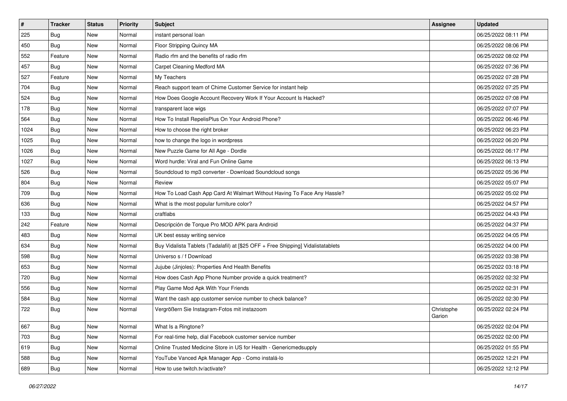| $\vert$ # | <b>Tracker</b> | <b>Status</b> | <b>Priority</b> | <b>Subject</b>                                                                   | <b>Assignee</b>      | <b>Updated</b>      |
|-----------|----------------|---------------|-----------------|----------------------------------------------------------------------------------|----------------------|---------------------|
| 225       | Bug            | New           | Normal          | instant personal loan                                                            |                      | 06/25/2022 08:11 PM |
| 450       | Bug            | <b>New</b>    | Normal          | Floor Stripping Quincy MA                                                        |                      | 06/25/2022 08:06 PM |
| 552       | Feature        | New           | Normal          | Radio rfm and the benefits of radio rfm                                          |                      | 06/25/2022 08:02 PM |
| 457       | <b>Bug</b>     | New           | Normal          | Carpet Cleaning Medford MA                                                       |                      | 06/25/2022 07:36 PM |
| 527       | Feature        | New           | Normal          | My Teachers                                                                      |                      | 06/25/2022 07:28 PM |
| 704       | Bug            | New           | Normal          | Reach support team of Chime Customer Service for instant help                    |                      | 06/25/2022 07:25 PM |
| 524       | <b>Bug</b>     | New           | Normal          | How Does Google Account Recovery Work If Your Account Is Hacked?                 |                      | 06/25/2022 07:08 PM |
| 178       | Bug            | New           | Normal          | transparent lace wigs                                                            |                      | 06/25/2022 07:07 PM |
| 564       | <b>Bug</b>     | New           | Normal          | How To Install RepelisPlus On Your Android Phone?                                |                      | 06/25/2022 06:46 PM |
| 1024      | Bug            | New           | Normal          | How to choose the right broker                                                   |                      | 06/25/2022 06:23 PM |
| 1025      | Bug            | New           | Normal          | how to change the logo in wordpress                                              |                      | 06/25/2022 06:20 PM |
| 1026      | Bug            | New           | Normal          | New Puzzle Game for All Age - Dordle                                             |                      | 06/25/2022 06:17 PM |
| 1027      | Bug            | New           | Normal          | Word hurdle: Viral and Fun Online Game                                           |                      | 06/25/2022 06:13 PM |
| 526       | <b>Bug</b>     | New           | Normal          | Soundcloud to mp3 converter - Download Soundcloud songs                          |                      | 06/25/2022 05:36 PM |
| 804       | Bug            | New           | Normal          | Review                                                                           |                      | 06/25/2022 05:07 PM |
| 709       | <b>Bug</b>     | New           | Normal          | How To Load Cash App Card At Walmart Without Having To Face Any Hassle?          |                      | 06/25/2022 05:02 PM |
| 636       | <b>Bug</b>     | New           | Normal          | What is the most popular furniture color?                                        |                      | 06/25/2022 04:57 PM |
| 133       | Bug            | New           | Normal          | craftlabs                                                                        |                      | 06/25/2022 04:43 PM |
| 242       | Feature        | New           | Normal          | Descripción de Torque Pro MOD APK para Android                                   |                      | 06/25/2022 04:37 PM |
| 483       | <b>Bug</b>     | New           | Normal          | UK best essay writing service                                                    |                      | 06/25/2022 04:05 PM |
| 634       | Bug            | New           | Normal          | Buy Vidalista Tablets (Tadalafil) at [\$25 OFF + Free Shipping] Vidalistatablets |                      | 06/25/2022 04:00 PM |
| 598       | <b>Bug</b>     | New           | Normal          | Universo s / f Download                                                          |                      | 06/25/2022 03:38 PM |
| 653       | Bug            | New           | Normal          | Jujube (Jinjoles): Properties And Health Benefits                                |                      | 06/25/2022 03:18 PM |
| 720       | <b>Bug</b>     | New           | Normal          | How does Cash App Phone Number provide a quick treatment?                        |                      | 06/25/2022 02:32 PM |
| 556       | <b>Bug</b>     | New           | Normal          | Play Game Mod Apk With Your Friends                                              |                      | 06/25/2022 02:31 PM |
| 584       | <b>Bug</b>     | New           | Normal          | Want the cash app customer service number to check balance?                      |                      | 06/25/2022 02:30 PM |
| 722       | <b>Bug</b>     | New           | Normal          | Vergrößern Sie Instagram-Fotos mit instazoom                                     | Christophe<br>Garion | 06/25/2022 02:24 PM |
| 667       | <b>Bug</b>     | New           | Normal          | What Is a Ringtone?                                                              |                      | 06/25/2022 02:04 PM |
| 703       | Bug            | New           | Normal          | For real-time help, dial Facebook customer service number                        |                      | 06/25/2022 02:00 PM |
| 619       | Bug            | New           | Normal          | Online Trusted Medicine Store in US for Health - Genericmedsupply                |                      | 06/25/2022 01:55 PM |
| 588       | <b>Bug</b>     | New           | Normal          | YouTube Vanced Apk Manager App - Como instalá-lo                                 |                      | 06/25/2022 12:21 PM |
| 689       | <b>Bug</b>     | New           | Normal          | How to use twitch.tv/activate?                                                   |                      | 06/25/2022 12:12 PM |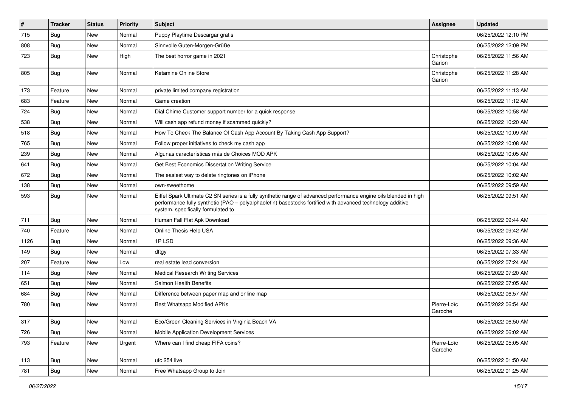| $\vert$ # | <b>Tracker</b> | <b>Status</b> | <b>Priority</b> | Subject                                                                                                                                                                                                                                                               | Assignee               | <b>Updated</b>      |
|-----------|----------------|---------------|-----------------|-----------------------------------------------------------------------------------------------------------------------------------------------------------------------------------------------------------------------------------------------------------------------|------------------------|---------------------|
| 715       | <b>Bug</b>     | New           | Normal          | Puppy Playtime Descargar gratis                                                                                                                                                                                                                                       |                        | 06/25/2022 12:10 PM |
| 808       | Bug            | New           | Normal          | Sinnvolle Guten-Morgen-Grüße                                                                                                                                                                                                                                          |                        | 06/25/2022 12:09 PM |
| 723       | Bug            | New           | High            | The best horror game in 2021                                                                                                                                                                                                                                          | Christophe<br>Garion   | 06/25/2022 11:56 AM |
| 805       | Bug            | New           | Normal          | Ketamine Online Store                                                                                                                                                                                                                                                 | Christophe<br>Garion   | 06/25/2022 11:28 AM |
| 173       | Feature        | New           | Normal          | private limited company registration                                                                                                                                                                                                                                  |                        | 06/25/2022 11:13 AM |
| 683       | Feature        | New           | Normal          | Game creation                                                                                                                                                                                                                                                         |                        | 06/25/2022 11:12 AM |
| 724       | <b>Bug</b>     | New           | Normal          | Dial Chime Customer support number for a quick response                                                                                                                                                                                                               |                        | 06/25/2022 10:58 AM |
| 538       | Bug            | New           | Normal          | Will cash app refund money if scammed quickly?                                                                                                                                                                                                                        |                        | 06/25/2022 10:20 AM |
| 518       | Bug            | New           | Normal          | How To Check The Balance Of Cash App Account By Taking Cash App Support?                                                                                                                                                                                              |                        | 06/25/2022 10:09 AM |
| 765       | <b>Bug</b>     | New           | Normal          | Follow proper initiatives to check my cash app                                                                                                                                                                                                                        |                        | 06/25/2022 10:08 AM |
| 239       | Bug            | New           | Normal          | Algunas características más de Choices MOD APK                                                                                                                                                                                                                        |                        | 06/25/2022 10:05 AM |
| 641       | <b>Bug</b>     | New           | Normal          | Get Best Economics Dissertation Writing Service                                                                                                                                                                                                                       |                        | 06/25/2022 10:04 AM |
| 672       | <b>Bug</b>     | New           | Normal          | The easiest way to delete ringtones on iPhone                                                                                                                                                                                                                         |                        | 06/25/2022 10:02 AM |
| 138       | Bug            | New           | Normal          | own-sweethome                                                                                                                                                                                                                                                         |                        | 06/25/2022 09:59 AM |
| 593       | <b>Bug</b>     | New           | Normal          | Eiffel Spark Ultimate C2 SN series is a fully synthetic range of advanced performance engine oils blended in high<br>performance fully synthetic (PAO – polyalphaolefin) basestocks fortified with advanced technology additive<br>system, specifically formulated to |                        | 06/25/2022 09:51 AM |
| 711       | Bug            | New           | Normal          | Human Fall Flat Apk Download                                                                                                                                                                                                                                          |                        | 06/25/2022 09:44 AM |
| 740       | Feature        | New           | Normal          | Online Thesis Help USA                                                                                                                                                                                                                                                |                        | 06/25/2022 09:42 AM |
| 1126      | Bug            | New           | Normal          | 1PLSD                                                                                                                                                                                                                                                                 |                        | 06/25/2022 09:36 AM |
| 149       | Bug            | <b>New</b>    | Normal          | dftgy                                                                                                                                                                                                                                                                 |                        | 06/25/2022 07:33 AM |
| 207       | Feature        | New           | Low             | real estate lead conversion                                                                                                                                                                                                                                           |                        | 06/25/2022 07:24 AM |
| 114       | <b>Bug</b>     | New           | Normal          | <b>Medical Research Writing Services</b>                                                                                                                                                                                                                              |                        | 06/25/2022 07:20 AM |
| 651       | Bug            | New           | Normal          | Salmon Health Benefits                                                                                                                                                                                                                                                |                        | 06/25/2022 07:05 AM |
| 684       | <b>Bug</b>     | New           | Normal          | Difference between paper map and online map                                                                                                                                                                                                                           |                        | 06/25/2022 06:57 AM |
| 780       | <b>Bug</b>     | New           | Normal          | Best Whatsapp Modified APKs                                                                                                                                                                                                                                           | Pierre-Loïc<br>Garoche | 06/25/2022 06:54 AM |
| 317       | Bug            | <b>New</b>    | Normal          | Eco/Green Cleaning Services in Virginia Beach VA                                                                                                                                                                                                                      |                        | 06/25/2022 06:50 AM |
| 726       | <b>Bug</b>     | New           | Normal          | Mobile Application Development Services                                                                                                                                                                                                                               |                        | 06/25/2022 06:02 AM |
| 793       | Feature        | New           | Urgent          | Where can I find cheap FIFA coins?                                                                                                                                                                                                                                    | Pierre-Loïc<br>Garoche | 06/25/2022 05:05 AM |
| 113       | <b>Bug</b>     | New           | Normal          | ufc 254 live                                                                                                                                                                                                                                                          |                        | 06/25/2022 01:50 AM |
| 781       | Bug            | New           | Normal          | Free Whatsapp Group to Join                                                                                                                                                                                                                                           |                        | 06/25/2022 01:25 AM |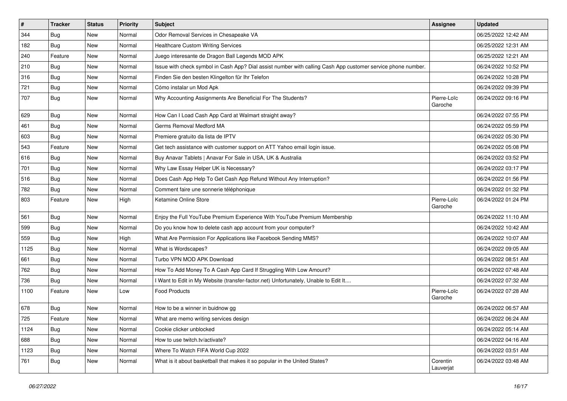| $\vert$ # | <b>Tracker</b> | <b>Status</b> | <b>Priority</b> | <b>Subject</b>                                                                                               | <b>Assignee</b>        | <b>Updated</b>      |
|-----------|----------------|---------------|-----------------|--------------------------------------------------------------------------------------------------------------|------------------------|---------------------|
| 344       | <b>Bug</b>     | New           | Normal          | Odor Removal Services in Chesapeake VA                                                                       |                        | 06/25/2022 12:42 AM |
| 182       | <b>Bug</b>     | New           | Normal          | <b>Healthcare Custom Writing Services</b>                                                                    |                        | 06/25/2022 12:31 AM |
| 240       | Feature        | New           | Normal          | Juego interesante de Dragon Ball Legends MOD APK                                                             |                        | 06/25/2022 12:21 AM |
| 210       | <b>Bug</b>     | New           | Normal          | Issue with check symbol in Cash App? Dial assist number with calling Cash App customer service phone number. |                        | 06/24/2022 10:52 PM |
| 316       | <b>Bug</b>     | New           | Normal          | Finden Sie den besten Klingelton für Ihr Telefon                                                             |                        | 06/24/2022 10:28 PM |
| 721       | <b>Bug</b>     | New           | Normal          | Cómo instalar un Mod Apk                                                                                     |                        | 06/24/2022 09:39 PM |
| 707       | Bug            | New           | Normal          | Why Accounting Assignments Are Beneficial For The Students?                                                  | Pierre-Loïc<br>Garoche | 06/24/2022 09:16 PM |
| 629       | <b>Bug</b>     | New           | Normal          | How Can I Load Cash App Card at Walmart straight away?                                                       |                        | 06/24/2022 07:55 PM |
| 461       | Bug            | New           | Normal          | Germs Removal Medford MA                                                                                     |                        | 06/24/2022 05:59 PM |
| 603       | <b>Bug</b>     | New           | Normal          | Premiere gratuito da lista de IPTV                                                                           |                        | 06/24/2022 05:30 PM |
| 543       | Feature        | New           | Normal          | Get tech assistance with customer support on ATT Yahoo email login issue.                                    |                        | 06/24/2022 05:08 PM |
| 616       | Bug            | New           | Normal          | Buy Anavar Tablets   Anavar For Sale in USA, UK & Australia                                                  |                        | 06/24/2022 03:52 PM |
| 701       | <b>Bug</b>     | New           | Normal          | Why Law Essay Helper UK is Necessary?                                                                        |                        | 06/24/2022 03:17 PM |
| 516       | Bug            | New           | Normal          | Does Cash App Help To Get Cash App Refund Without Any Interruption?                                          |                        | 06/24/2022 01:56 PM |
| 782       | Bug            | New           | Normal          | Comment faire une sonnerie téléphonique                                                                      |                        | 06/24/2022 01:32 PM |
| 803       | Feature        | New           | High            | Ketamine Online Store                                                                                        | Pierre-Loïc<br>Garoche | 06/24/2022 01:24 PM |
| 561       | <b>Bug</b>     | New           | Normal          | Enjoy the Full YouTube Premium Experience With YouTube Premium Membership                                    |                        | 06/24/2022 11:10 AM |
| 599       | <b>Bug</b>     | New           | Normal          | Do you know how to delete cash app account from your computer?                                               |                        | 06/24/2022 10:42 AM |
| 559       | Bug            | New           | High            | What Are Permission For Applications like Facebook Sending MMS?                                              |                        | 06/24/2022 10:07 AM |
| 1125      | Bug            | New           | Normal          | What is Wordscapes?                                                                                          |                        | 06/24/2022 09:05 AM |
| 661       | Bug            | <b>New</b>    | Normal          | Turbo VPN MOD APK Download                                                                                   |                        | 06/24/2022 08:51 AM |
| 762       | <b>Bug</b>     | New           | Normal          | How To Add Money To A Cash App Card If Struggling With Low Amount?                                           |                        | 06/24/2022 07:48 AM |
| 736       | <b>Bug</b>     | New           | Normal          | I Want to Edit in My Website (transfer-factor.net) Unfortunately, Unable to Edit It                          |                        | 06/24/2022 07:32 AM |
| 1100      | Feature        | New           | Low             | <b>Food Products</b>                                                                                         | Pierre-Loïc<br>Garoche | 06/24/2022 07:28 AM |
| 678       | Bug            | New           | Normal          | How to be a winner in buidnow gg                                                                             |                        | 06/24/2022 06:57 AM |
| 725       | Feature        | New           | Normal          | What are memo writing services design                                                                        |                        | 06/24/2022 06:24 AM |
| 1124      | <b>Bug</b>     | New           | Normal          | Cookie clicker unblocked                                                                                     |                        | 06/24/2022 05:14 AM |
| 688       | Bug            | New           | Normal          | How to use twitch.tv/activate?                                                                               |                        | 06/24/2022 04:16 AM |
| 1123      | <b>Bug</b>     | New           | Normal          | Where To Watch FIFA World Cup 2022                                                                           |                        | 06/24/2022 03:51 AM |
| 761       | <b>Bug</b>     | New           | Normal          | What is it about basketball that makes it so popular in the United States?                                   | Corentin<br>Lauverjat  | 06/24/2022 03:48 AM |